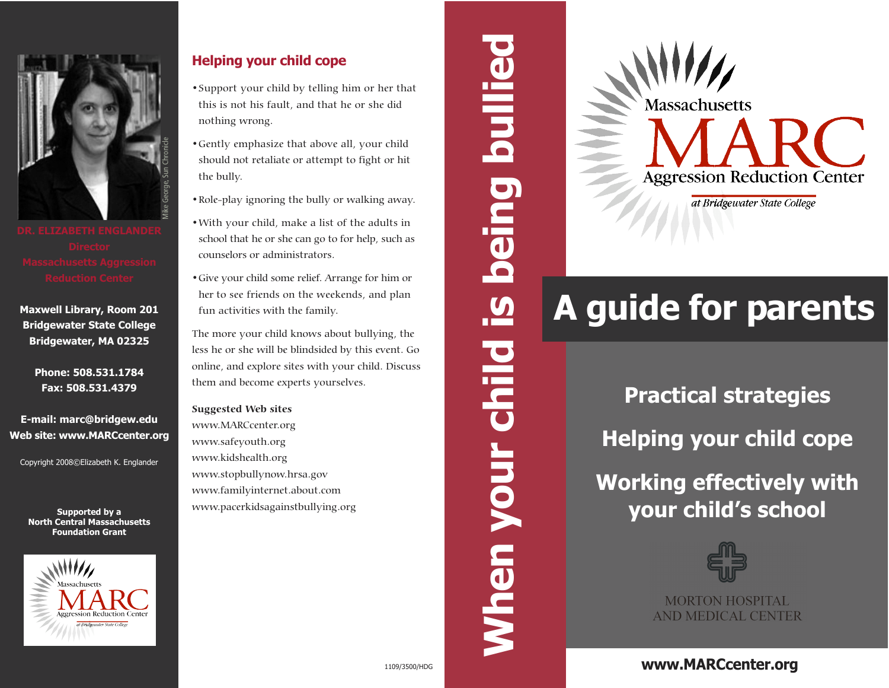

**Maxwell Library, Room 201 Bridgewater State College Bridgewater, MA 02325**

> **Phone: 508.531.1784 Fax: 508.531.4379**

**E-mail: marc@bridgew.edu Web site: www.MARCcenter.org**

Copyright 2008©Elizabeth K. Englander

**Foundation Grant**



## **Helping your child cope**

- •Support your child by telling him or her that this is not his fault, and that he or she did nothing wrong.
- •Gently emphasize that above all, your child should not retaliate or attempt to fight or hit the bully.
- •Role-play ignoring the bully or walking away.
- •With your child, make a list of the adults in school that he or she can go to for help, such as counselors or administrators.
- •Give your child some relief. Arrange for him or her to see friends on the weekends, and plan fun activities with the family.

The more your child knows about bullying, the less he or she will be blindsided by this event. Go online, and explore sites with your child. Discuss them and become experts yourselves.

**Suggested Web sites** www.MARCcenter.org www.safeyouth.org www.kidshealth.org www.stopbullynow.hrsa.gov www.familyinternet.about.com www.pacerkidsagainstbullying.org

**When your child is being bullied** bullie being <u>ທ</u> **blid When** 

**Massachusetts Aggression Reduction Center** 

at Bridgewater State College

# **A guide for parents**

**Practical strategies**

**Helping your child cope**

**Working effectively with**  Supported by a Supported by a Wave, Finglander Working effectively www.stopbullynow.hrsa.gov<br>
North Central Massachusetts **Morking effectively www.stopbullynow.hrsa.gov**<br>
North Central Massachusetts **Morking effectively ww** 



**MORTON HOSPITAL AND MEDICAL CENTER** 

# **www.MARCcenter.org**